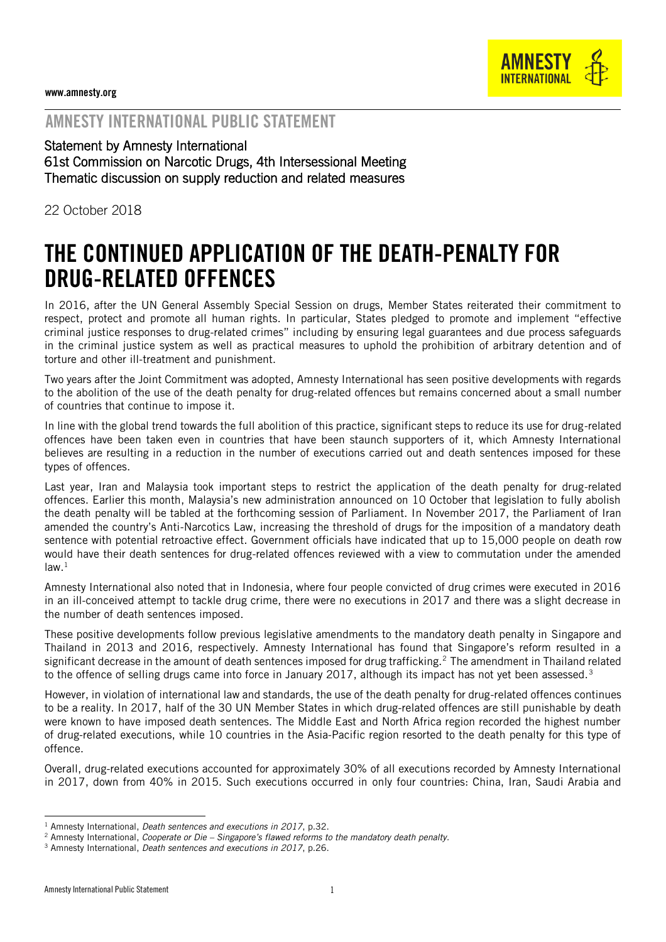

## AMNESTY INTERNATIONAL PUBLIC STATEMENT

Statement by Amnesty International 61st Commission on Narcotic Drugs, 4th Intersessional Meeting Thematic discussion on supply reduction and related measures

22 October 2018

## THE CONTINUED APPLICATION OF THE DEATH-PENALTY FOR DRUG-RELATED OFFENCES

In 2016, after the UN General Assembly Special Session on drugs, Member States reiterated their commitment to respect, protect and promote all human rights. In particular, States pledged to promote and implement "effective criminal justice responses to drug-related crimes" including by ensuring legal guarantees and due process safeguards in the criminal justice system as well as practical measures to uphold the prohibition of arbitrary detention and of torture and other ill-treatment and punishment.

Two years after the Joint Commitment was adopted, Amnesty International has seen positive developments with regards to the abolition of the use of the death penalty for drug-related offences but remains concerned about a small number of countries that continue to impose it.

In line with the global trend towards the full abolition of this practice, significant steps to reduce its use for drug-related offences have been taken even in countries that have been staunch supporters of it, which Amnesty International believes are resulting in a reduction in the number of executions carried out and death sentences imposed for these types of offences.

Last year, Iran and Malaysia took important steps to restrict the application of the death penalty for drug-related offences. Earlier this month, Malaysia's new administration announced on 10 October that legislation to fully abolish the death penalty will be tabled at the forthcoming session of Parliament. In November 2017, the Parliament of Iran amended the country's Anti-Narcotics Law, increasing the threshold of drugs for the imposition of a mandatory death sentence with potential retroactive effect. Government officials have indicated that up to 15,000 people on death row would have their death sentences for drug-related offences reviewed with a view to commutation under the amended  $law.<sup>1</sup>$ 

Amnesty International also noted that in Indonesia, where four people convicted of drug crimes were executed in 2016 in an ill-conceived attempt to tackle drug crime, there were no executions in 2017 and there was a slight decrease in the number of death sentences imposed.

These positive developments follow previous legislative amendments to the mandatory death penalty in Singapore and Thailand in 2013 and 2016, respectively. Amnesty International has found that Singapore's reform resulted in a significant decrease in the amount of death sentences imposed for drug trafficking.<sup>2</sup> The amendment in Thailand related to the offence of selling drugs came into force in January 2017, although its impact has not yet been assessed. $3$ 

However, in violation of international law and standards, the use of the death penalty for drug-related offences continues to be a reality. In 2017, half of the 30 UN Member States in which drug-related offences are still punishable by death were known to have imposed death sentences. The Middle East and North Africa region recorded the highest number of drug-related executions, while 10 countries in the Asia-Pacific region resorted to the death penalty for this type of offence.

Overall, drug-related executions accounted for approximately 30% of all executions recorded by Amnesty International in 2017, down from 40% in 2015. Such executions occurred in only four countries: China, Iran, Saudi Arabia and

-

<sup>1</sup> Amnesty International, *Death sentences and executions in 2017*, p.32.

<sup>2</sup> Amnesty International, *Cooperate or Die – Singapore's flawed reforms to the mandatory death penalty.*

<sup>3</sup> Amnesty International, *Death sentences and executions in 2017*, p.26.